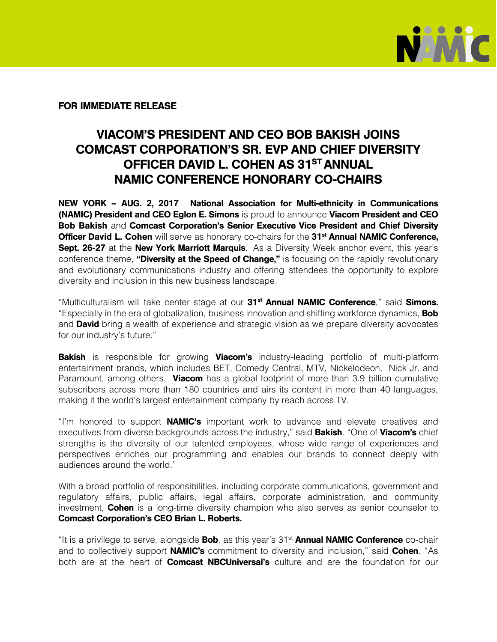

FOR IMMEDIATE RELEASE

## VIACOM'S PRESIDENT AND CEO BOB BAKISH JOINS COMCAST CORPORATION'S SR. EVP AND CHIEF DIVERSITY OFFICER DAVID L. COHEN AS 31<sup>ST</sup> ANNUAL NAMIC CONFERENCE HONORARY CO-CHAIRS

NEW YORK – AUG. 2, 2017 – National Association for Multi-ethnicity in Communications (NAMIC) President and CEO Eglon E. Simons is proud to announce Viacom President and CEO Bob Bakish and Comcast Corporation's Senior Executive Vice President and Chief Diversity Officer David L. Cohen will serve as honorary co-chairs for the 31<sup>st</sup> Annual NAMIC Conference, Sept. 26-27 at the New York Marriott Marquis. As a Diversity Week anchor event, this year's conference theme, "Diversity at the Speed of Change," is focusing on the rapidly revolutionary and evolutionary communications industry and offering attendees the opportunity to explore diversity and inclusion in this new business landscape.

"Multiculturalism will take center stage at our 31<sup>st</sup> Annual NAMIC Conference," said Simons. "Especially in the era of globalization, business innovation and shifting workforce dynamics, **Bob** and **David** bring a wealth of experience and strategic vision as we prepare diversity advocates for our industry's future."

**Bakish** is responsible for growing **Viacom's** industry-leading portfolio of multi-platform entertainment brands, which includes BET, Comedy Central, MTV, Nickelodeon, Nick Jr. and Paramount, among others. Viacom has a global footprint of more than 3.9 billion cumulative subscribers across more than 180 countries and airs its content in more than 40 languages, making it the world's largest entertainment company by reach across TV.

"I'm honored to support **NAMIC's** important work to advance and elevate creatives and executives from diverse backgrounds across the industry," said **Bakish**. "One of Viacom's chief strengths is the diversity of our talented employees, whose wide range of experiences and perspectives enriches our programming and enables our brands to connect deeply with audiences around the world."

With a broad portfolio of responsibilities, including corporate communications, government and regulatory affairs, public affairs, legal affairs, corporate administration, and community investment, **Cohen** is a long-time diversity champion who also serves as senior counselor to Comcast Corporation's CEO Brian L. Roberts.

"It is a privilege to serve, alongside **Bob**, as this year's 31<sup>st</sup> Annual NAMIC Conference co-chair and to collectively support **NAMIC's** commitment to diversity and inclusion," said **Cohen**. "As both are at the heart of **Comcast NBCUniversal's** culture and are the foundation for our